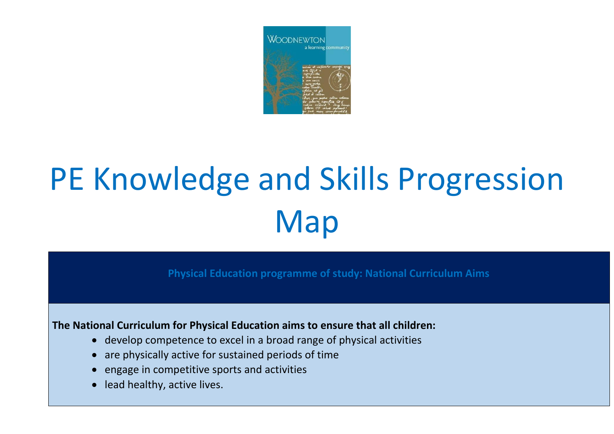

## PE Knowledge and Skills Progression Map

**Physical Education programme of study: National Curriculum Aims** 

**The National Curriculum for Physical Education aims to ensure that all children:** 

- develop competence to excel in a broad range of physical activities
- are physically active for sustained periods of time
- engage in competitive sports and activities
- lead healthy, active lives.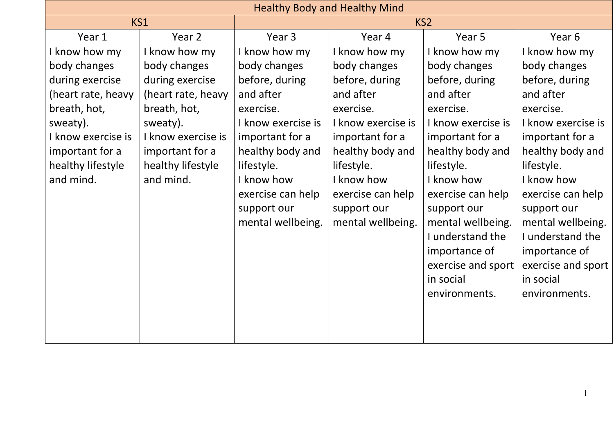| <b>Healthy Body and Healthy Mind</b> |                    |                    |                    |                    |                    |  |
|--------------------------------------|--------------------|--------------------|--------------------|--------------------|--------------------|--|
|                                      | KS1                |                    | KS <sub>2</sub>    |                    |                    |  |
| Year 1                               | Year 2             | Year 3             | Year 4             | Year 5             | Year <sub>6</sub>  |  |
| know how my                          | I know how my      | I know how my      | I know how my      | I know how my      | I know how my      |  |
| body changes                         | body changes       | body changes       | body changes       | body changes       | body changes       |  |
| during exercise                      | during exercise    | before, during     | before, during     | before, during     | before, during     |  |
| (heart rate, heavy                   | (heart rate, heavy | and after          | and after          | and after          | and after          |  |
| breath, hot,                         | breath, hot,       | exercise.          | exercise.          | exercise.          | exercise.          |  |
| sweaty).                             | sweaty).           | I know exercise is | I know exercise is | I know exercise is | I know exercise is |  |
| I know exercise is                   | I know exercise is | important for a    | important for a    | important for a    | important for a    |  |
| important for a                      | important for a    | healthy body and   | healthy body and   | healthy body and   | healthy body and   |  |
| healthy lifestyle                    | healthy lifestyle  | lifestyle.         | lifestyle.         | lifestyle.         | lifestyle.         |  |
| and mind.                            | and mind.          | I know how         | I know how         | I know how         | I know how         |  |
|                                      |                    | exercise can help  | exercise can help  | exercise can help  | exercise can help  |  |
|                                      |                    | support our        | support our        | support our        | support our        |  |
|                                      |                    | mental wellbeing.  | mental wellbeing.  | mental wellbeing.  | mental wellbeing.  |  |
|                                      |                    |                    |                    | I understand the   | I understand the   |  |
|                                      |                    |                    |                    | importance of      | importance of      |  |
|                                      |                    |                    |                    | exercise and sport | exercise and sport |  |
|                                      |                    |                    |                    | in social          | in social          |  |
|                                      |                    |                    |                    | environments.      | environments.      |  |
|                                      |                    |                    |                    |                    |                    |  |
|                                      |                    |                    |                    |                    |                    |  |
|                                      |                    |                    |                    |                    |                    |  |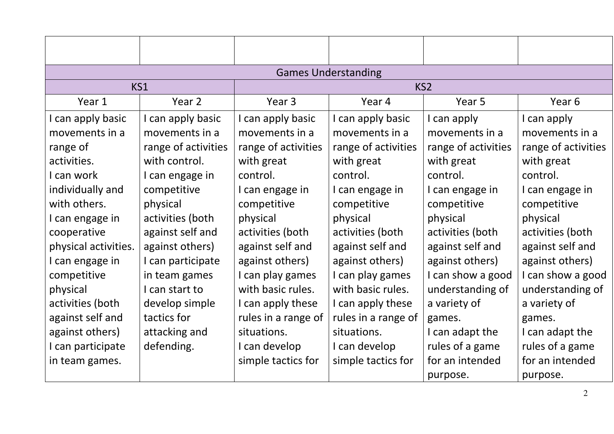| <b>Games Understanding</b> |                     |                     |                     |                     |                     |  |  |
|----------------------------|---------------------|---------------------|---------------------|---------------------|---------------------|--|--|
|                            | KS1                 |                     | KS <sub>2</sub>     |                     |                     |  |  |
| Year 1                     | Year 2              | Year <sub>3</sub>   | Year 4              | Year 5              | Year 6              |  |  |
| I can apply basic          | I can apply basic   | I can apply basic   | I can apply basic   | I can apply         | I can apply         |  |  |
| movements in a             | movements in a      | movements in a      | movements in a      | movements in a      | movements in a      |  |  |
| range of                   | range of activities | range of activities | range of activities | range of activities | range of activities |  |  |
| activities.                | with control.       | with great          | with great          | with great          | with great          |  |  |
| I can work                 | I can engage in     | control.            | control.            | control.            | control.            |  |  |
| individually and           | competitive         | I can engage in     | I can engage in     | I can engage in     | I can engage in     |  |  |
| with others.               | physical            | competitive         | competitive         | competitive         | competitive         |  |  |
| I can engage in            | activities (both    | physical            | physical            | physical            | physical            |  |  |
| cooperative                | against self and    | activities (both    | activities (both    | activities (both    | activities (both    |  |  |
| physical activities.       | against others)     | against self and    | against self and    | against self and    | against self and    |  |  |
| I can engage in            | I can participate   | against others)     | against others)     | against others)     | against others)     |  |  |
| competitive                | in team games       | I can play games    | I can play games    | I can show a good   | I can show a good   |  |  |
| physical                   | I can start to      | with basic rules.   | with basic rules.   | understanding of    | understanding of    |  |  |
| activities (both           | develop simple      | I can apply these   | I can apply these   | a variety of        | a variety of        |  |  |
| against self and           | tactics for         | rules in a range of | rules in a range of | games.              | games.              |  |  |
| against others)            | attacking and       | situations.         | situations.         | I can adapt the     | I can adapt the     |  |  |
| I can participate          | defending.          | I can develop       | I can develop       | rules of a game     | rules of a game     |  |  |
| in team games.             |                     | simple tactics for  | simple tactics for  | for an intended     | for an intended     |  |  |
|                            |                     |                     |                     | purpose.            | purpose.            |  |  |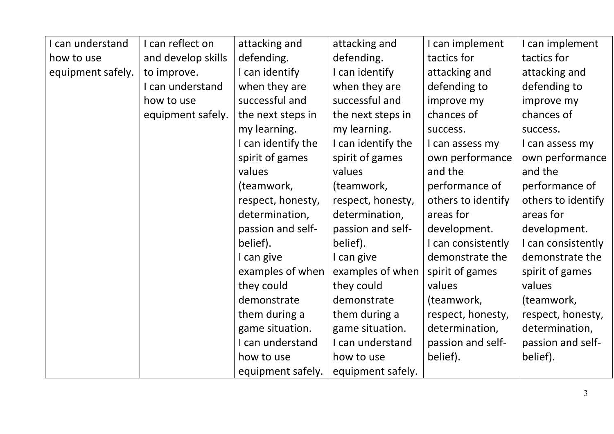| I can understand  | I can reflect on   | attacking and      | attacking and      | I can implement    | I can implement    |
|-------------------|--------------------|--------------------|--------------------|--------------------|--------------------|
| how to use        | and develop skills | defending.         | defending.         | tactics for        | tactics for        |
| equipment safely. | to improve.        | I can identify     | I can identify     | attacking and      | attacking and      |
|                   | I can understand   | when they are      | when they are      | defending to       | defending to       |
|                   | how to use         | successful and     | successful and     | improve my         | improve my         |
|                   | equipment safely.  | the next steps in  | the next steps in  | chances of         | chances of         |
|                   |                    | my learning.       | my learning.       | success.           | success.           |
|                   |                    | I can identify the | I can identify the | I can assess my    | I can assess my    |
|                   |                    | spirit of games    | spirit of games    | own performance    | own performance    |
|                   |                    | values             | values             | and the            | and the            |
|                   |                    | (teamwork,         | (teamwork,         | performance of     | performance of     |
|                   |                    | respect, honesty,  | respect, honesty,  | others to identify | others to identify |
|                   |                    | determination,     | determination,     | areas for          | areas for          |
|                   |                    | passion and self-  | passion and self-  | development.       | development.       |
|                   |                    | belief).           | belief).           | I can consistently | I can consistently |
|                   |                    | I can give         | I can give         | demonstrate the    | demonstrate the    |
|                   |                    | examples of when   | examples of when   | spirit of games    | spirit of games    |
|                   |                    | they could         | they could         | values             | values             |
|                   |                    | demonstrate        | demonstrate        | (teamwork,         | (teamwork,         |
|                   |                    | them during a      | them during a      | respect, honesty,  | respect, honesty,  |
|                   |                    | game situation.    | game situation.    | determination,     | determination,     |
|                   |                    | I can understand   | I can understand   | passion and self-  | passion and self-  |
|                   |                    | how to use         | how to use         | belief).           | belief).           |
|                   |                    | equipment safely.  | equipment safely.  |                    |                    |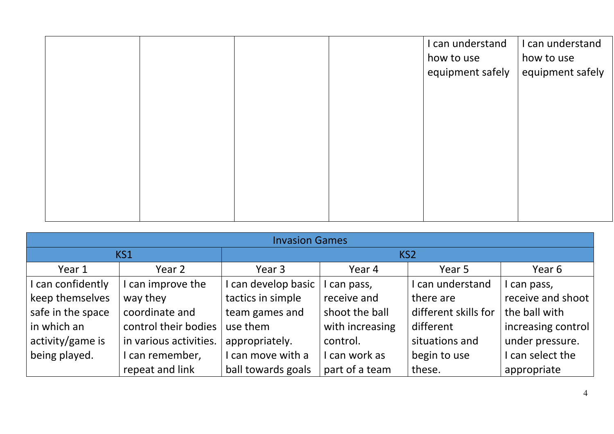|  |  | I can understand<br>how to use<br>equipment safely | I can understand<br>how to use<br>equipment safely |
|--|--|----------------------------------------------------|----------------------------------------------------|
|  |  |                                                    |                                                    |
|  |  |                                                    |                                                    |
|  |  |                                                    |                                                    |

| <b>Invasion Games</b> |                        |                     |                 |                      |                    |  |
|-----------------------|------------------------|---------------------|-----------------|----------------------|--------------------|--|
|                       | KS1                    |                     | KS <sub>2</sub> |                      |                    |  |
| Year 1                | Year 2                 | Year 3              | Year 4          | Year 5               | Year 6             |  |
| I can confidently     | I can improve the      | I can develop basic | can pass,       | can understand       | I can pass,        |  |
| keep themselves       | way they               | tactics in simple   | receive and     | there are            | receive and shoot  |  |
| safe in the space     | coordinate and         | team games and      | shoot the ball  | different skills for | the ball with      |  |
| in which an           | control their bodies   | use them            | with increasing | different            | increasing control |  |
| activity/game is      | in various activities. | appropriately.      | control.        | situations and       | under pressure.    |  |
| being played.         | I can remember,        | I can move with a   | can work as     | begin to use         | I can select the   |  |
|                       | repeat and link        | ball towards goals  | part of a team  | these.               | appropriate        |  |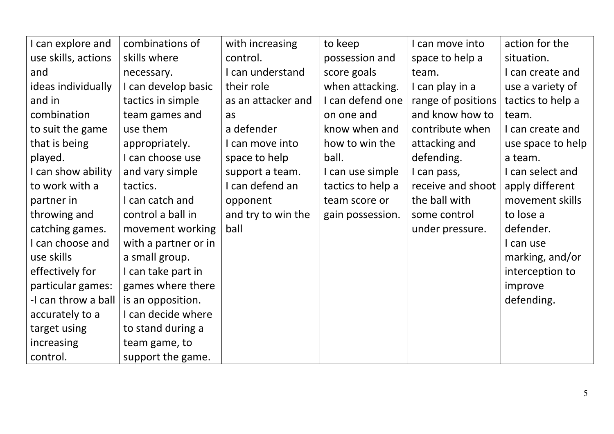| can explore and     | combinations of      | with increasing    | to keep           | I can move into    | action for the    |
|---------------------|----------------------|--------------------|-------------------|--------------------|-------------------|
| use skills, actions | skills where         | control.           | possession and    | space to help a    | situation.        |
| and                 | necessary.           | I can understand   | score goals       | team.              | I can create and  |
| ideas individually  | I can develop basic  | their role         | when attacking.   | I can play in a    | use a variety of  |
| and in              | tactics in simple    | as an attacker and | I can defend one  | range of positions | tactics to help a |
| combination         | team games and       | as                 | on one and        | and know how to    | team.             |
| to suit the game    | use them             | a defender         | know when and     | contribute when    | I can create and  |
| that is being       | appropriately.       | I can move into    | how to win the    | attacking and      | use space to help |
| played.             | I can choose use     | space to help      | ball.             | defending.         | a team.           |
| I can show ability  | and vary simple      | support a team.    | I can use simple  | I can pass,        | I can select and  |
| to work with a      | tactics.             | I can defend an    | tactics to help a | receive and shoot  | apply different   |
| partner in          | I can catch and      | opponent           | team score or     | the ball with      | movement skills   |
| throwing and        | control a ball in    | and try to win the | gain possession.  | some control       | to lose a         |
| catching games.     | movement working     | ball               |                   | under pressure.    | defender.         |
| can choose and      | with a partner or in |                    |                   |                    | I can use         |
| use skills          | a small group.       |                    |                   |                    | marking, and/or   |
| effectively for     | I can take part in   |                    |                   |                    | interception to   |
| particular games:   | games where there    |                    |                   |                    | improve           |
| -I can throw a ball | is an opposition.    |                    |                   |                    | defending.        |
| accurately to a     | I can decide where   |                    |                   |                    |                   |
| target using        | to stand during a    |                    |                   |                    |                   |
| increasing          | team game, to        |                    |                   |                    |                   |
| control.            | support the game.    |                    |                   |                    |                   |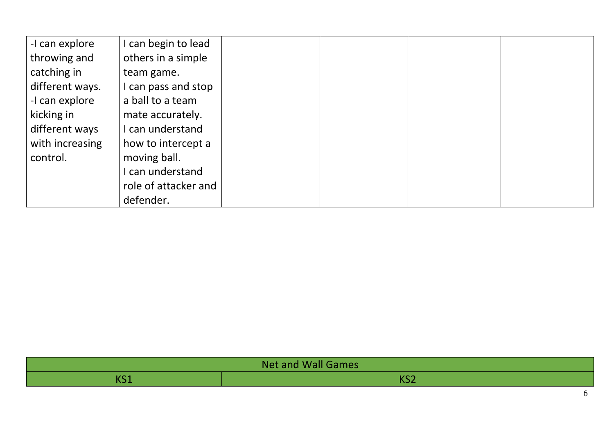| -I can explore  | can begin to lead    |
|-----------------|----------------------|
| throwing and    | others in a simple   |
| catching in     | team game.           |
| different ways. | can pass and stop    |
| -I can explore  | a ball to a team     |
| kicking in      | mate accurately.     |
| different ways  | can understand       |
| with increasing | how to intercept a   |
| control.        | moving ball.         |
|                 | can understand       |
|                 | role of attacker and |
|                 | defender.            |

| Net and Wall Games |     |  |  |
|--------------------|-----|--|--|
| 47 C Z             | ◝◡▵ |  |  |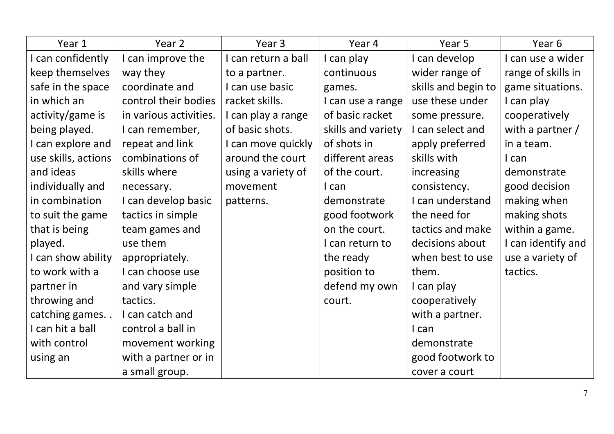| Year 1              | Year 2                 | Year 3              | Year 4             | Year 5              | Year 6             |
|---------------------|------------------------|---------------------|--------------------|---------------------|--------------------|
| can confidently     | I can improve the      | I can return a ball | I can play         | I can develop       | I can use a wider  |
| keep themselves     | way they               | to a partner.       | continuous         | wider range of      | range of skills in |
| safe in the space   | coordinate and         | I can use basic     | games.             | skills and begin to | game situations.   |
| in which an         | control their bodies   | racket skills.      | I can use a range  | use these under     | I can play         |
| activity/game is    | in various activities. | I can play a range  | of basic racket    | some pressure.      | cooperatively      |
| being played.       | I can remember,        | of basic shots.     | skills and variety | I can select and    | with a partner $/$ |
| I can explore and   | repeat and link        | I can move quickly  | of shots in        | apply preferred     | in a team.         |
| use skills, actions | combinations of        | around the court    | different areas    | skills with         | I can              |
| and ideas           | skills where           | using a variety of  | of the court.      | increasing          | demonstrate        |
| individually and    | necessary.             | movement            | I can              | consistency.        | good decision      |
| in combination      | I can develop basic    | patterns.           | demonstrate        | I can understand    | making when        |
| to suit the game    | tactics in simple      |                     | good footwork      | the need for        | making shots       |
| that is being       | team games and         |                     | on the court.      | tactics and make    | within a game.     |
| played.             | use them               |                     | I can return to    | decisions about     | I can identify and |
| I can show ability  | appropriately.         |                     | the ready          | when best to use    | use a variety of   |
| to work with a      | I can choose use       |                     | position to        | them.               | tactics.           |
| partner in          | and vary simple        |                     | defend my own      | I can play          |                    |
| throwing and        | tactics.               |                     | court.             | cooperatively       |                    |
| catching games. .   | I can catch and        |                     |                    | with a partner.     |                    |
| I can hit a ball    | control a ball in      |                     |                    | I can               |                    |
| with control        | movement working       |                     |                    | demonstrate         |                    |
| using an            | with a partner or in   |                     |                    | good footwork to    |                    |
|                     | a small group.         |                     |                    | cover a court       |                    |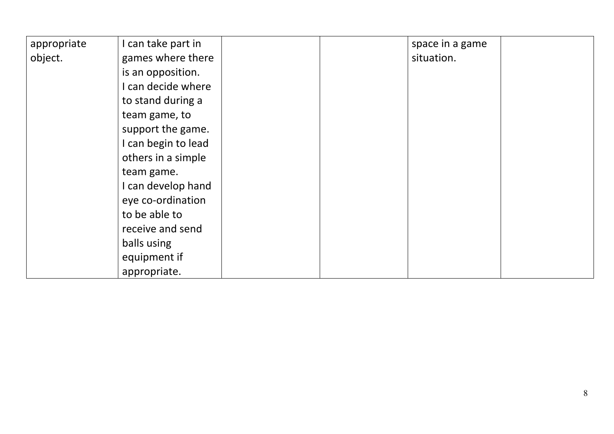| appropriate | I can take part in  | space in a game |  |
|-------------|---------------------|-----------------|--|
| object.     | games where there   | situation.      |  |
|             | is an opposition.   |                 |  |
|             | I can decide where  |                 |  |
|             | to stand during a   |                 |  |
|             | team game, to       |                 |  |
|             | support the game.   |                 |  |
|             | I can begin to lead |                 |  |
|             | others in a simple  |                 |  |
|             | team game.          |                 |  |
|             | I can develop hand  |                 |  |
|             | eye co-ordination   |                 |  |
|             | to be able to       |                 |  |
|             | receive and send    |                 |  |
|             | balls using         |                 |  |
|             | equipment if        |                 |  |
|             | appropriate.        |                 |  |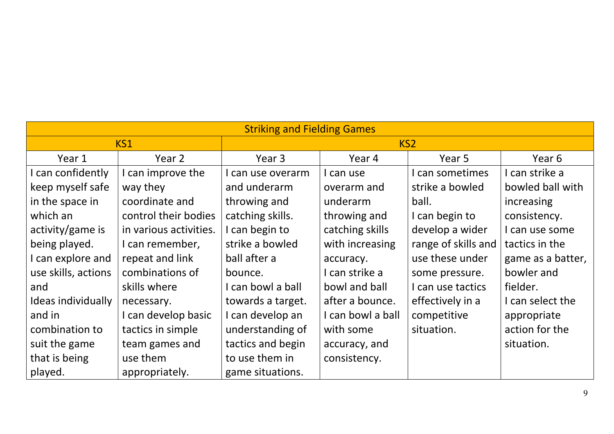| <b>Striking and Fielding Games</b> |                        |                   |                   |                     |                   |  |
|------------------------------------|------------------------|-------------------|-------------------|---------------------|-------------------|--|
|                                    | KS <sub>1</sub>        |                   | KS <sub>2</sub>   |                     |                   |  |
| Year 1                             | Year 2                 | Year 3            | Year 4            | Year 5              | Year 6            |  |
| I can confidently                  | I can improve the      | I can use overarm | I can use         | I can sometimes     | I can strike a    |  |
| keep myself safe                   | way they               | and underarm      | overarm and       | strike a bowled     | bowled ball with  |  |
| in the space in                    | coordinate and         | throwing and      | underarm          | ball.               | increasing        |  |
| which an                           | control their bodies   | catching skills.  | throwing and      | I can begin to      | consistency.      |  |
| activity/game is                   | in various activities. | I can begin to    | catching skills   | develop a wider     | I can use some    |  |
| being played.                      | I can remember,        | strike a bowled   | with increasing   | range of skills and | tactics in the    |  |
| I can explore and                  | repeat and link        | ball after a      | accuracy.         | use these under     | game as a batter, |  |
| use skills, actions                | combinations of        | bounce.           | I can strike a    | some pressure.      | bowler and        |  |
| and                                | skills where           | I can bowl a ball | bowl and ball     | I can use tactics   | fielder.          |  |
| Ideas individually                 | necessary.             | towards a target. | after a bounce.   | effectively in a    | I can select the  |  |
| and in                             | I can develop basic    | I can develop an  | I can bowl a ball | competitive         | appropriate       |  |
| combination to                     | tactics in simple      | understanding of  | with some         | situation.          | action for the    |  |
| suit the game                      | team games and         | tactics and begin | accuracy, and     |                     | situation.        |  |
| that is being                      | use them               | to use them in    | consistency.      |                     |                   |  |
| played.                            | appropriately.         | game situations.  |                   |                     |                   |  |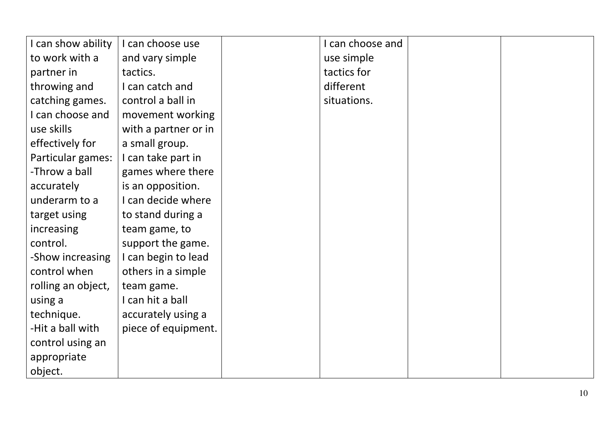| I can show ability | I can choose use     | I can choose and |  |
|--------------------|----------------------|------------------|--|
| to work with a     | and vary simple      | use simple       |  |
| partner in         | tactics.             | tactics for      |  |
| throwing and       | I can catch and      | different        |  |
| catching games.    | control a ball in    | situations.      |  |
| I can choose and   | movement working     |                  |  |
| use skills         | with a partner or in |                  |  |
| effectively for    | a small group.       |                  |  |
| Particular games:  | I can take part in   |                  |  |
| -Throw a ball      | games where there    |                  |  |
| accurately         | is an opposition.    |                  |  |
| underarm to a      | I can decide where   |                  |  |
| target using       | to stand during a    |                  |  |
| increasing         | team game, to        |                  |  |
| control.           | support the game.    |                  |  |
| -Show increasing   | I can begin to lead  |                  |  |
| control when       | others in a simple   |                  |  |
| rolling an object, | team game.           |                  |  |
| using a            | I can hit a ball     |                  |  |
| technique.         | accurately using a   |                  |  |
| -Hit a ball with   | piece of equipment.  |                  |  |
| control using an   |                      |                  |  |
| appropriate        |                      |                  |  |
| object.            |                      |                  |  |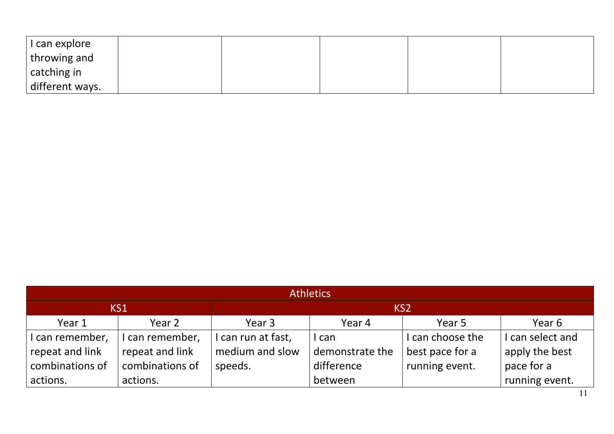| I can explore   |  |  |  |
|-----------------|--|--|--|
| throwing and    |  |  |  |
| catching in     |  |  |  |
| different ways. |  |  |  |

| <b>Athletics</b> |                 |                  |                            |                  |                |  |
|------------------|-----------------|------------------|----------------------------|------------------|----------------|--|
| KS1              |                 | KS <sub>2</sub>  |                            |                  |                |  |
| Year 1           | Year 2          | Year 3           | Year 5<br>Year 6<br>Year 4 |                  |                |  |
| can remember,    | I can remember, | can run at fast, | I can                      | I can choose the | can select and |  |
| repeat and link  | repeat and link | medium and slow  | demonstrate the            | best pace for a  | apply the best |  |
| combinations of  | combinations of | speeds.          | difference                 | running event.   | pace for a     |  |
| actions.         | actions.        |                  | between                    |                  | running event. |  |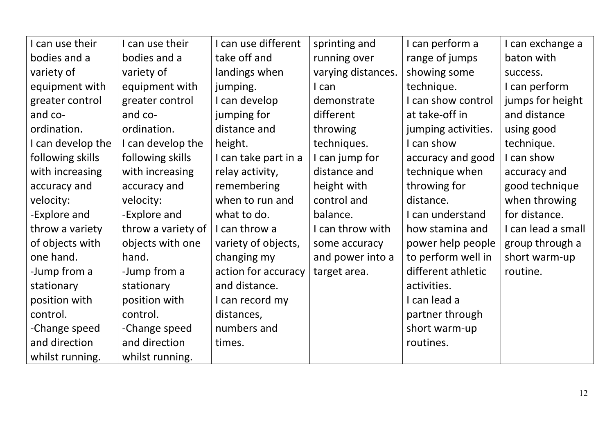| I can use their   | I can use their    | I can use different  | sprinting and      | I can perform a     | I can exchange a   |
|-------------------|--------------------|----------------------|--------------------|---------------------|--------------------|
| bodies and a      | bodies and a       | take off and         | running over       | range of jumps      | baton with         |
| variety of        | variety of         | landings when        | varying distances. | showing some        | success.           |
| equipment with    | equipment with     | jumping.             | I can              | technique.          | I can perform      |
| greater control   | greater control    | I can develop        | demonstrate        | I can show control  | jumps for height   |
| and co-           | and co-            | jumping for          | different          | at take-off in      | and distance       |
| ordination.       | ordination.        | distance and         | throwing           | jumping activities. | using good         |
| I can develop the | I can develop the  | height.              | techniques.        | I can show          | technique.         |
| following skills  | following skills   | I can take part in a | I can jump for     | accuracy and good   | I can show         |
| with increasing   | with increasing    | relay activity,      | distance and       | technique when      | accuracy and       |
| accuracy and      | accuracy and       | remembering          | height with        | throwing for        | good technique     |
| velocity:         | velocity:          | when to run and      | control and        | distance.           | when throwing      |
| -Explore and      | -Explore and       | what to do.          | balance.           | I can understand    | for distance.      |
| throw a variety   | throw a variety of | I can throw a        | I can throw with   | how stamina and     | I can lead a small |
| of objects with   | objects with one   | variety of objects,  | some accuracy      | power help people   | group through a    |
| one hand.         | hand.              | changing my          | and power into a   | to perform well in  | short warm-up      |
| -Jump from a      | -Jump from a       | action for accuracy  | target area.       | different athletic  | routine.           |
| stationary        | stationary         | and distance.        |                    | activities.         |                    |
| position with     | position with      | I can record my      |                    | I can lead a        |                    |
| control.          | control.           | distances,           |                    | partner through     |                    |
| -Change speed     | -Change speed      | numbers and          |                    | short warm-up       |                    |
| and direction     | and direction      | times.               |                    | routines.           |                    |
| whilst running.   | whilst running.    |                      |                    |                     |                    |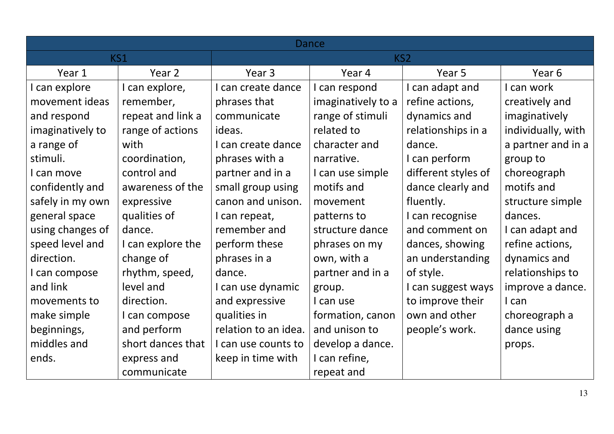| <b>Dance</b>     |                   |                      |                    |                     |                    |
|------------------|-------------------|----------------------|--------------------|---------------------|--------------------|
|                  | KS1               |                      | KS2                |                     |                    |
| Year 1           | Year 2            | Year 3               | Year 4             | Year 5              | Year 6             |
| I can explore    | I can explore,    | I can create dance   | I can respond      | I can adapt and     | I can work         |
| movement ideas   | remember,         | phrases that         | imaginatively to a | refine actions,     | creatively and     |
| and respond      | repeat and link a | communicate          | range of stimuli   | dynamics and        | imaginatively      |
| imaginatively to | range of actions  | ideas.               | related to         | relationships in a  | individually, with |
| a range of       | with              | I can create dance   | character and      | dance.              | a partner and in a |
| stimuli.         | coordination,     | phrases with a       | narrative.         | I can perform       | group to           |
| I can move       | control and       | partner and in a     | I can use simple   | different styles of | choreograph        |
| confidently and  | awareness of the  | small group using    | motifs and         | dance clearly and   | motifs and         |
| safely in my own | expressive        | canon and unison.    | movement           | fluently.           | structure simple   |
| general space    | qualities of      | I can repeat,        | patterns to        | I can recognise     | dances.            |
| using changes of | dance.            | remember and         | structure dance    | and comment on      | I can adapt and    |
| speed level and  | I can explore the | perform these        | phrases on my      | dances, showing     | refine actions,    |
| direction.       | change of         | phrases in a         | own, with a        | an understanding    | dynamics and       |
| I can compose    | rhythm, speed,    | dance.               | partner and in a   | of style.           | relationships to   |
| and link         | level and         | I can use dynamic    | group.             | I can suggest ways  | improve a dance.   |
| movements to     | direction.        | and expressive       | I can use          | to improve their    | I can              |
| make simple      | I can compose     | qualities in         | formation, canon   | own and other       | choreograph a      |
| beginnings,      | and perform       | relation to an idea. | and unison to      | people's work.      | dance using        |
| middles and      | short dances that | I can use counts to  | develop a dance.   |                     | props.             |
| ends.            | express and       | keep in time with    | I can refine,      |                     |                    |
|                  | communicate       |                      | repeat and         |                     |                    |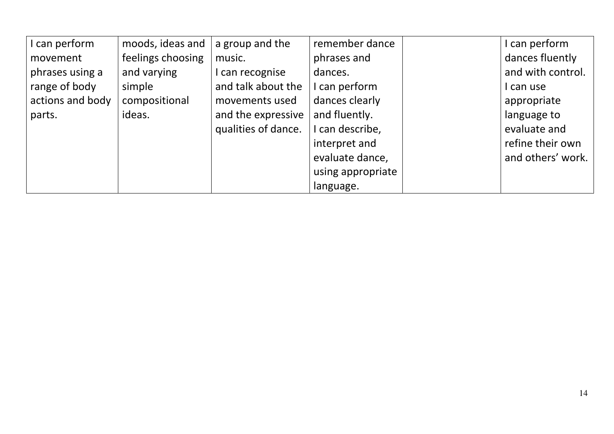| I can perform    | moods, ideas and  | a group and the     | remember dance    | I can perform     |
|------------------|-------------------|---------------------|-------------------|-------------------|
| movement         | feelings choosing | music.              | phrases and       | dances fluently   |
| phrases using a  | and varying       | I can recognise     | dances.           | and with control. |
| range of body    | simple            | and talk about the  | I can perform     | I can use         |
| actions and body | compositional     | movements used      | dances clearly    | appropriate       |
| parts.           | ideas.            | and the expressive  | and fluently.     | language to       |
|                  |                   | qualities of dance. | I can describe,   | evaluate and      |
|                  |                   |                     | interpret and     | refine their own  |
|                  |                   |                     | evaluate dance,   | and others' work. |
|                  |                   |                     | using appropriate |                   |
|                  |                   |                     | language.         |                   |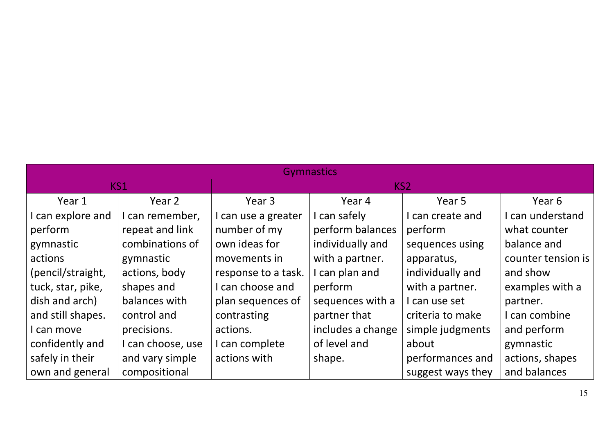| <b>Gymnastics</b> |                   |                     |                   |                   |                    |  |  |
|-------------------|-------------------|---------------------|-------------------|-------------------|--------------------|--|--|
|                   | KS1               |                     | KS <sub>2</sub>   |                   |                    |  |  |
| Year 1            | Year 2            | Year 3              | Year 4            | Year 5            | Year 6             |  |  |
| can explore and   | I can remember,   | I can use a greater | I can safely      | can create and    | I can understand   |  |  |
| perform           | repeat and link   | number of my        | perform balances  | perform           | what counter       |  |  |
| gymnastic         | combinations of   | own ideas for       | individually and  | sequences using   | balance and        |  |  |
| actions           | gymnastic         | movements in        | with a partner.   | apparatus,        | counter tension is |  |  |
| (pencil/straight, | actions, body     | response to a task. | I can plan and    | individually and  | and show           |  |  |
| tuck, star, pike, | shapes and        | I can choose and    | perform           | with a partner.   | examples with a    |  |  |
| dish and arch)    | balances with     | plan sequences of   | sequences with a  | can use set       | partner.           |  |  |
| and still shapes. | control and       | contrasting         | partner that      | criteria to make  | I can combine      |  |  |
| can move          | precisions.       | actions.            | includes a change | simple judgments  | and perform        |  |  |
| confidently and   | I can choose, use | I can complete      | of level and      | about             | gymnastic          |  |  |
| safely in their   | and vary simple   | actions with        | shape.            | performances and  | actions, shapes    |  |  |
| own and general   | compositional     |                     |                   | suggest ways they | and balances       |  |  |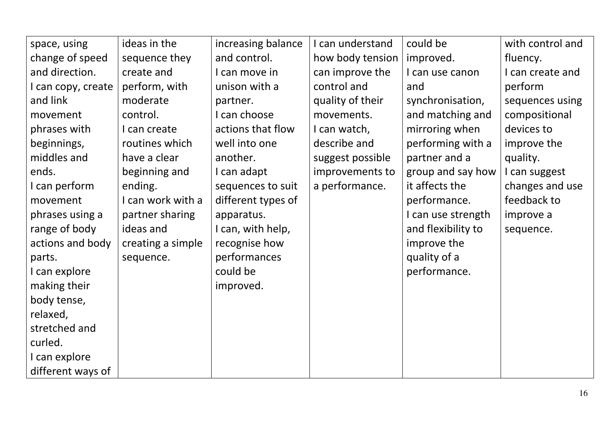| space, using       | ideas in the      | increasing balance | I can understand | could be           | with control and |
|--------------------|-------------------|--------------------|------------------|--------------------|------------------|
| change of speed    | sequence they     | and control.       | how body tension | improved.          | fluency.         |
| and direction.     | create and        | I can move in      | can improve the  | I can use canon    | I can create and |
| I can copy, create | perform, with     | unison with a      | control and      | and                | perform          |
| and link           | moderate          | partner.           | quality of their | synchronisation,   | sequences using  |
| movement           | control.          | I can choose       | movements.       | and matching and   | compositional    |
| phrases with       | I can create      | actions that flow  | I can watch,     | mirroring when     | devices to       |
| beginnings,        | routines which    | well into one      | describe and     | performing with a  | improve the      |
| middles and        | have a clear      | another.           | suggest possible | partner and a      | quality.         |
| ends.              | beginning and     | I can adapt        | improvements to  | group and say how  | I can suggest    |
| I can perform      | ending.           | sequences to suit  | a performance.   | it affects the     | changes and use  |
| movement           | I can work with a | different types of |                  | performance.       | feedback to      |
| phrases using a    | partner sharing   | apparatus.         |                  | I can use strength | improve a        |
| range of body      | ideas and         | I can, with help,  |                  | and flexibility to | sequence.        |
| actions and body   | creating a simple | recognise how      |                  | improve the        |                  |
| parts.             | sequence.         | performances       |                  | quality of a       |                  |
| I can explore      |                   | could be           |                  | performance.       |                  |
| making their       |                   | improved.          |                  |                    |                  |
| body tense,        |                   |                    |                  |                    |                  |
| relaxed,           |                   |                    |                  |                    |                  |
| stretched and      |                   |                    |                  |                    |                  |
| curled.            |                   |                    |                  |                    |                  |
| I can explore      |                   |                    |                  |                    |                  |
| different ways of  |                   |                    |                  |                    |                  |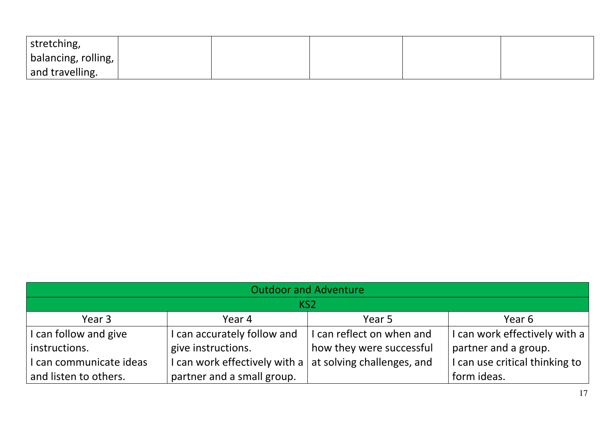| stretching,                 |  |  |  |
|-----------------------------|--|--|--|
| $ $ balancing, rolling, $ $ |  |  |  |
| and travelling.             |  |  |  |

| <b>Outdoor and Adventure</b> |                                                                  |                           |                                |  |  |
|------------------------------|------------------------------------------------------------------|---------------------------|--------------------------------|--|--|
| KS <sub>2</sub>              |                                                                  |                           |                                |  |  |
| Year 3                       | Year 4                                                           | Year 5                    | Year 6                         |  |  |
| I can follow and give        | I can accurately follow and                                      | I can reflect on when and | I can work effectively with a  |  |  |
| instructions.                | give instructions.                                               | how they were successful  | partner and a group.           |  |  |
| I can communicate ideas      | I can work effectively with a $\vert$ at solving challenges, and |                           | I can use critical thinking to |  |  |
| and listen to others.        | partner and a small group.                                       |                           | form ideas.                    |  |  |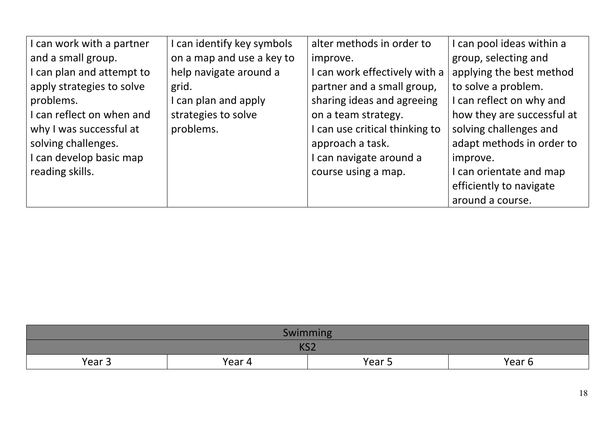| I can work with a partner | can identify key symbols  | alter methods in order to      | I can pool ideas within a  |
|---------------------------|---------------------------|--------------------------------|----------------------------|
| and a small group.        | on a map and use a key to | improve.                       | group, selecting and       |
| I can plan and attempt to | help navigate around a    | I can work effectively with a  | applying the best method   |
| apply strategies to solve | grid.                     | partner and a small group,     | to solve a problem.        |
| problems.                 | can plan and apply        | sharing ideas and agreeing     | I can reflect on why and   |
| I can reflect on when and | strategies to solve       | on a team strategy.            | how they are successful at |
| why I was successful at   | problems.                 | I can use critical thinking to | solving challenges and     |
| solving challenges.       |                           | approach a task.               | adapt methods in order to  |
| I can develop basic map   |                           | I can navigate around a        | improve.                   |
| reading skills.           |                           | course using a map.            | I can orientate and map    |
|                           |                           |                                | efficiently to navigate    |
|                           |                           |                                | around a course.           |

| Swimming                                        |  |  |  |  |
|-------------------------------------------------|--|--|--|--|
| 1/C<br>، שו                                     |  |  |  |  |
| Year 5<br>Year <sub>3</sub><br>Year 6<br>Year 4 |  |  |  |  |